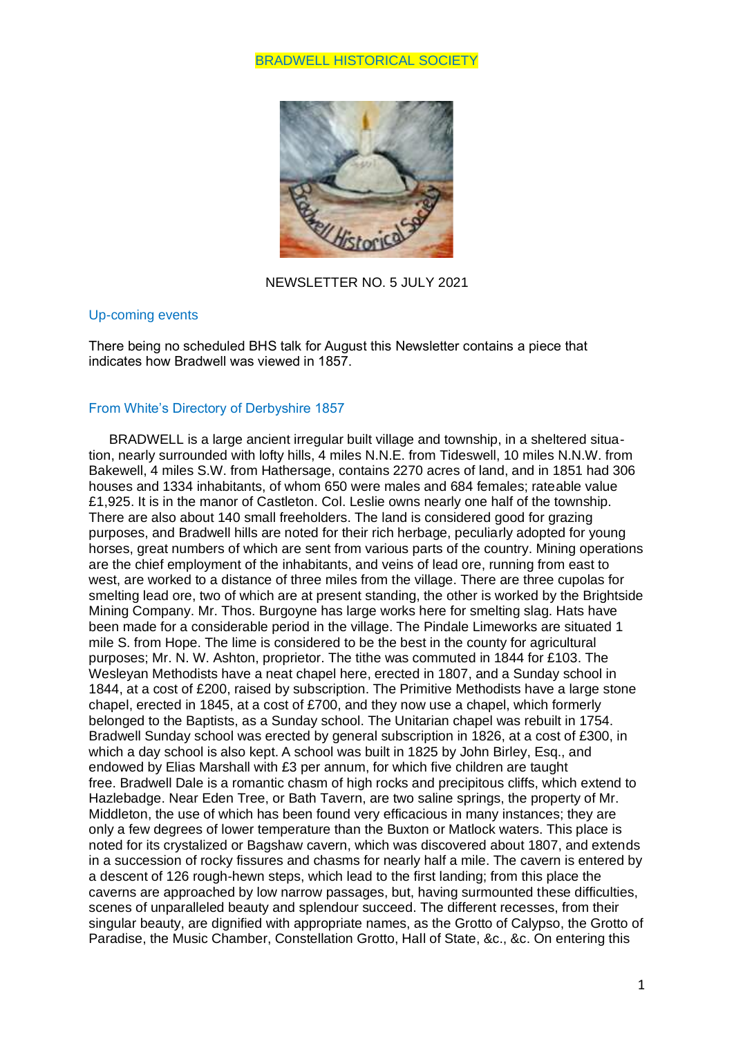# BRADWELL HISTORICAL SOCIETY



NEWSLETTER NO. 5 JULY 2021

### Up-coming events

There being no scheduled BHS talk for August this Newsletter contains a piece that indicates how Bradwell was viewed in 1857.

# From White's Directory of Derbyshire 1857

BRADWELL is a large ancient irregular built village and township, in a sheltered situation, nearly surrounded with lofty hills, 4 miles N.N.E. from Tideswell, 10 miles N.N.W. from Bakewell, 4 miles S.W. from Hathersage, contains 2270 acres of land, and in 1851 had 306 houses and 1334 inhabitants, of whom 650 were males and 684 females; rateable value £1,925. It is in the manor of Castleton. Col. Leslie owns nearly one half of the township. There are also about 140 small freeholders. The land is considered good for grazing purposes, and Bradwell hills are noted for their rich herbage, peculiarly adopted for young horses, great numbers of which are sent from various parts of the country. Mining operations are the chief employment of the inhabitants, and veins of lead ore, running from east to west, are worked to a distance of three miles from the village. There are three cupolas for smelting lead ore, two of which are at present standing, the other is worked by the Brightside Mining Company. Mr. Thos. Burgoyne has large works here for smelting slag. Hats have been made for a considerable period in the village. The Pindale Limeworks are situated 1 mile S. from Hope. The lime is considered to be the best in the county for agricultural purposes; Mr. N. W. Ashton, proprietor. The tithe was commuted in 1844 for £103. The Wesleyan Methodists have a neat chapel here, erected in 1807, and a Sunday school in 1844, at a cost of £200, raised by subscription. The Primitive Methodists have a large stone chapel, erected in 1845, at a cost of £700, and they now use a chapel, which formerly belonged to the Baptists, as a Sunday school. The Unitarian chapel was rebuilt in 1754. Bradwell Sunday school was erected by general subscription in 1826, at a cost of £300, in which a day school is also kept. A school was built in 1825 by John Birley, Esq., and endowed by Elias Marshall with £3 per annum, for which five children are taught free. Bradwell Dale is a romantic chasm of high rocks and precipitous cliffs, which extend to Hazlebadge. Near Eden Tree, or Bath Tavern, are two saline springs, the property of Mr. Middleton, the use of which has been found very efficacious in many instances; they are only a few degrees of lower temperature than the Buxton or Matlock waters. This place is noted for its crystalized or Bagshaw cavern, which was discovered about 1807, and extends in a succession of rocky fissures and chasms for nearly half a mile. The cavern is entered by a descent of 126 rough-hewn steps, which lead to the first landing; from this place the caverns are approached by low narrow passages, but, having surmounted these difficulties, scenes of unparalleled beauty and splendour succeed. The different recesses, from their singular beauty, are dignified with appropriate names, as the Grotto of Calypso, the Grotto of Paradise, the Music Chamber, Constellation Grotto, Hall of State, &c., &c. On entering this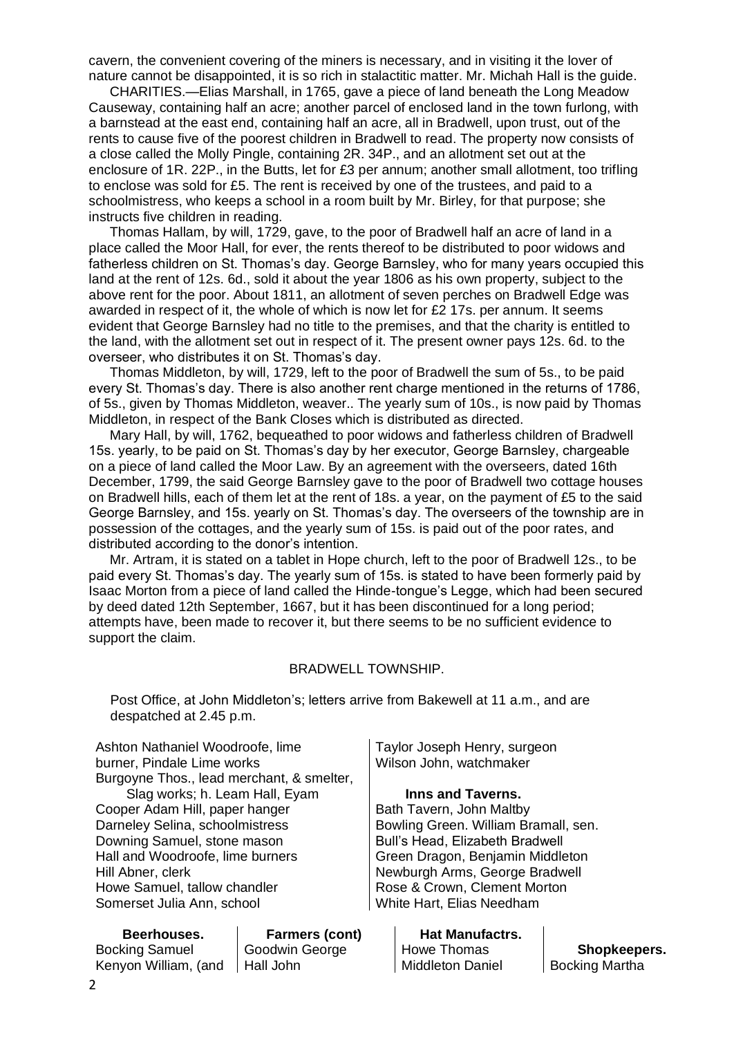cavern, the convenient covering of the miners is necessary, and in visiting it the lover of nature cannot be disappointed, it is so rich in stalactitic matter. Mr. Michah Hall is the guide.

CHARITIES.—Elias Marshall, in 1765, gave a piece of land beneath the Long Meadow Causeway, containing half an acre; another parcel of enclosed land in the town furlong, with a barnstead at the east end, containing half an acre, all in Bradwell, upon trust, out of the rents to cause five of the poorest children in Bradwell to read. The property now consists of a close called the Molly Pingle, containing 2R. 34P., and an allotment set out at the enclosure of 1R. 22P., in the Butts, let for £3 per annum; another small allotment, too trifling to enclose was sold for £5. The rent is received by one of the trustees, and paid to a schoolmistress, who keeps a school in a room built by Mr. Birley, for that purpose; she instructs five children in reading.

Thomas Hallam, by will, 1729, gave, to the poor of Bradwell half an acre of land in a place called the Moor Hall, for ever, the rents thereof to be distributed to poor widows and fatherless children on St. Thomas's day. George Barnsley, who for many years occupied this land at the rent of 12s. 6d., sold it about the year 1806 as his own property, subject to the above rent for the poor. About 1811, an allotment of seven perches on Bradwell Edge was awarded in respect of it, the whole of which is now let for  $E2$  17s. per annum. It seems evident that George Barnsley had no title to the premises, and that the charity is entitled to the land, with the allotment set out in respect of it. The present owner pays 12s. 6d. to the overseer, who distributes it on St. Thomas's day.

Thomas Middleton, by will, 1729, left to the poor of Bradwell the sum of 5s., to be paid every St. Thomas's day. There is also another rent charge mentioned in the returns of 1786, of 5s., given by Thomas Middleton, weaver.. The yearly sum of 10s., is now paid by Thomas Middleton, in respect of the Bank Closes which is distributed as directed.

Mary Hall, by will, 1762, bequeathed to poor widows and fatherless children of Bradwell 15s. yearly, to be paid on St. Thomas's day by her executor, George Barnsley, chargeable on a piece of land called the Moor Law. By an agreement with the overseers, dated 16th December, 1799, the said George Barnsley gave to the poor of Bradwell two cottage houses on Bradwell hills, each of them let at the rent of 18s. a year, on the payment of £5 to the said George Barnsley, and 15s. yearly on St. Thomas's day. The overseers of the township are in possession of the cottages, and the yearly sum of 15s. is paid out of the poor rates, and distributed according to the donor's intention.

Mr. Artram, it is stated on a tablet in Hope church, left to the poor of Bradwell 12s., to be paid every St. Thomas's day. The yearly sum of 15s. is stated to have been formerly paid by Isaac Morton from a piece of land called the Hinde-tongue's Legge, which had been secured by deed dated 12th September, 1667, but it has been discontinued for a long period; attempts have, been made to recover it, but there seems to be no sufficient evidence to support the claim.

#### BRADWELL TOWNSHIP.

Post Office, at John Middleton's; letters arrive from Bakewell at 11 a.m., and are despatched at 2.45 p.m.

| Ashton Nathaniel Woodroofe, lime          | Taylor Joseph Henry, surgeon       |
|-------------------------------------------|------------------------------------|
| burner, Pindale Lime works                | Wilson John, watchmaker            |
| Burgoyne Thos., lead merchant, & smelter, |                                    |
| Slag works; h. Leam Hall, Eyam            | <b>Inns and Taverns.</b>           |
| Cooper Adam Hill, paper hanger            | Bath Tavern, John Maltby           |
| Darneley Selina, schoolmistress           | Bowling Green. William Bramall, so |
| Downing Samuel, stone mason               | Bull's Head, Elizabeth Bradwell    |
| Hall and Woodroofe, lime burners          | Green Dragon, Benjamin Middleto    |
| Hill Abner, clerk                         | Newburgh Arms, George Bradwell     |
| Howe Samuel, tallow chandler              | Rose & Crown, Clement Morton       |
| Somerset Julia Ann, school                | White Hart, Elias Needham          |
|                                           |                                    |

# **Beerhouses.** Bocking Samuel

Kenyon William, (and | Hall John **Farmers (cont)** Goodwin George

Bowling Green. William Bramall, sen. Green Dragon, Benjamin Middleton Newburgh Arms, George Bradwell

> **Hat Manufactrs.** Howe Thomas Middleton Daniel

**Shopkeepers.** Bocking Martha